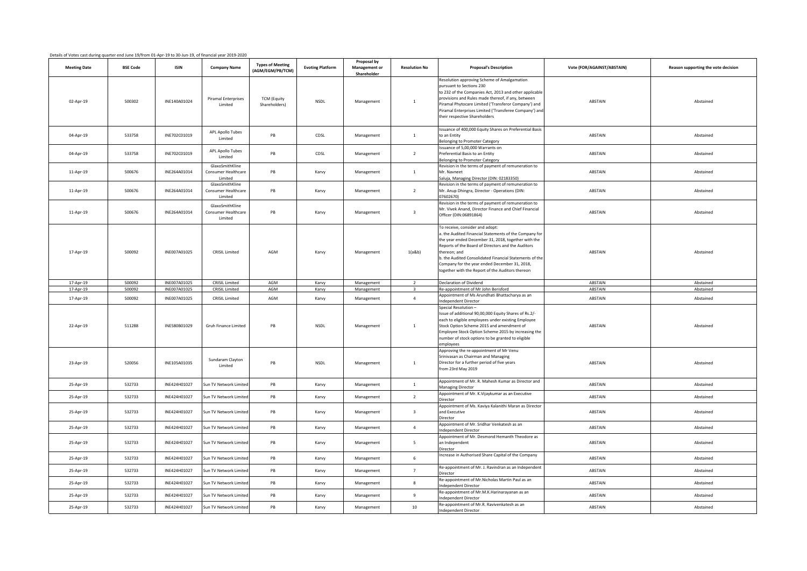| Details of Votes cast during quarter end June 19/from 01-Apr-19 to 30-Jun-19, of financial year 2019-2020 |  |  |
|-----------------------------------------------------------------------------------------------------------|--|--|
|                                                                                                           |  |  |

| Details of Votes cast during quarter end June 19/from 01-Apr-19 to 30-Jun-19, of financial year 2019-2020 |                  |                              |                                                          |                                             |                         |                                             |                                  |                                                                                                                                                                                                                                                                                                                                                                                        |                            |                                     |
|-----------------------------------------------------------------------------------------------------------|------------------|------------------------------|----------------------------------------------------------|---------------------------------------------|-------------------------|---------------------------------------------|----------------------------------|----------------------------------------------------------------------------------------------------------------------------------------------------------------------------------------------------------------------------------------------------------------------------------------------------------------------------------------------------------------------------------------|----------------------------|-------------------------------------|
| <b>Meeting Date</b>                                                                                       | <b>BSE Code</b>  | <b>ISIN</b>                  | <b>Company Name</b>                                      | <b>Types of Meeting</b><br>(AGM/EGM/PB/TCM) | <b>Evoting Platform</b> | Proposal by<br>Management or<br>Shareholder | <b>Resolution No</b>             | <b>Proposal's Description</b>                                                                                                                                                                                                                                                                                                                                                          | Vote (FOR/AGAINST/ABSTAIN) | Reason supporting the vote decision |
| 02-Apr-19                                                                                                 | 500302           | INE140A01024                 | <b>Piramal Enterprises</b><br>Limited                    | <b>TCM (Equity</b><br>Shareholders)         | <b>NSDL</b>             | Management                                  | $\mathbf{1}$                     | Resolution approving Scheme of Amalgamation<br>oursuant to Sections 230<br>to 232 of the Companies Act, 2013 and other applicable<br>provisions and Rules made thereof, if any, between<br>Piramal Phytocare Limited ('Transferor Company') and<br>Piramal Enterprises Limited ('Transferee Company') an<br>heir respective Shareholders                                               | ABSTAIN                    | Abstained                           |
| 04-Apr-19                                                                                                 | 533758           | INE702C01019                 | <b>APL Apollo Tubes</b><br>Limited                       | PB                                          | CDSL                    | Management                                  | $\mathbf{1}$                     | ssuance of 400,000 Equity Shares on Preferential Basis<br>to an Entity<br>elonging to Promoter Category                                                                                                                                                                                                                                                                                | ABSTAIN                    | Abstained                           |
| 04-Apr-19                                                                                                 | 533758           | INE702C01019                 | <b>APL Apollo Tubes</b><br>Limited                       | PB                                          | CDSL                    | Management                                  | $\overline{2}$                   | ssuance of 5,00,000 Warrants on<br>referential Basis to an Entity<br>elonging to Promoter Category                                                                                                                                                                                                                                                                                     | ABSTAIN                    | Abstained                           |
| 11-Apr-19                                                                                                 | 500676           | INE264A01014                 | GlaxoSmithKline<br>Consumer Healthcare<br><b>Limited</b> | PB                                          | Karvy                   | Management                                  | $\mathbf{1}$                     | Revision in the terms of payment of remuneration to<br>Mr. Navneet<br>aluja, Managing Director (DIN: 02183350)                                                                                                                                                                                                                                                                         | ABSTAIN                    | Abstained                           |
| 11-Apr-19                                                                                                 | 500676           | INE264A01014                 | GlaxoSmithKline<br>Consumer Healthcare<br><b>Limited</b> | PB                                          | Karvy                   | Management                                  | $\overline{2}$                   | Revision in the terms of payment of remuneration to<br>Mr. Anup Dhingra, Director - Operations (DIN:<br>7602670)                                                                                                                                                                                                                                                                       | ABSTAIN                    | Abstained                           |
| 11-Apr-19                                                                                                 | 500676           | INE264A01014                 | GlaxoSmithKline<br>Consumer Healthcare<br><b>Limited</b> | PB                                          | Karvy                   | Management                                  | $\overline{\mathbf{3}}$          | Revision in the terms of payment of remuneration to<br>Mr. Vivek Anand, Director Finance and Chief Financial<br>Officer (DIN:06891864)                                                                                                                                                                                                                                                 | ABSTAIN                    | Abstained                           |
| 17-Apr-19                                                                                                 | 500092           | INE007A01025                 | <b>CRISIL Limited</b>                                    | AGM                                         | Karvy                   | Management                                  | 1(a&b)                           | To receive, consider and adopt:<br>a. the Audited Financial Statements of the Company for<br>the year ended December 31, 2018, together with the<br>Reports of the Board of Directors and the Auditors<br>thereon; and<br>o. the Audited Consolidated Financial Statements of the<br>Company for the year ended December 31, 2018,<br>together with the Report of the Auditors thereon | ABSTAIN                    | Abstained                           |
| 17-Apr-19                                                                                                 | 500092           | INE007A01025                 | <b>CRISIL Limited</b>                                    | AGM                                         | Karvy                   | Management                                  | $\overline{2}$                   | Declaration of Dividend                                                                                                                                                                                                                                                                                                                                                                | ABSTAIN                    | Abstained                           |
| 17-Apr-19<br>17-Apr-19                                                                                    | 500092<br>500092 | INE007A01025<br>INE007A01025 | <b>CRISIL Limited</b><br><b>CRISIL Limited</b>           | AGM<br>AGM                                  | Karvy<br>Karvy          | Management<br>Management                    | $\overline{3}$<br>$\overline{4}$ | Re-appointment of Mr John Berisford<br>Appointment of Ms Arundhati Bhattacharya as an                                                                                                                                                                                                                                                                                                  | ABSTAIN<br>ABSTAIN         | Abstained<br>Abstained              |
| 22-Apr-19                                                                                                 | 511288           | INE580B01029                 | Grub Finance Limited                                     | PB                                          | <b>NSDL</b>             | Management                                  | $\mathbf{1}$                     | ndependent Director<br>Special Resolution -<br>ssue of additional 90,00,000 Equity Shares of Rs.2/-<br>each to eligible employees under existing Employee<br>Stock Option Scheme 2015 and amendment of<br>mployee Stock Option Scheme 2015 by increasing the<br>number of stock options to be granted to eligible<br>mployees                                                          | ABSTAIN                    | Abstained                           |
| 23-Apr-19                                                                                                 | 520056           | INE105A01035                 | Sundaram Clayton<br>Limited                              | PB                                          | <b>NSDL</b>             | Management                                  | $\mathbf{1}$                     | Approving the re-appointment of Mr Venu<br>Srinivasan as Chairman and Managing<br>Director for a further period of five years<br>rom 23rd May 2019                                                                                                                                                                                                                                     | ABSTAIN                    | Abstained                           |
| 25-Apr-19                                                                                                 | 532733           | INE424H01027                 | Sun TV Network Limite                                    | PB                                          | Karvy                   | Management                                  | $\mathbf{1}$                     | Appointment of Mr. R. Mahesh Kumar as Director and<br><b>Managing Director</b>                                                                                                                                                                                                                                                                                                         | ABSTAIN                    | Abstained                           |
| 25-Apr-19                                                                                                 | 532733           | INE424H01027                 | Sun TV Network Limite                                    | PB                                          | Karvy                   | Management                                  | $\overline{2}$                   | Appointment of Mr. K. Vijaykumar as an Executive<br>irector                                                                                                                                                                                                                                                                                                                            | ABSTAIN                    | Abstained                           |
| 25-Apr-19                                                                                                 | 532733           | INE424H01027                 | Sun TV Network Limited                                   | PB                                          | Karvy                   | Management                                  | $\overline{\mathbf{3}}$          | Appointment of Ms. Kaviya Kalanithi Maran as Director<br>and Executive<br>irector                                                                                                                                                                                                                                                                                                      | ABSTAIN                    | Abstained                           |
| 25-Apr-19                                                                                                 | 532733           | INE424H01027                 | Sun TV Network Limite                                    | PB                                          | Karvy                   | Management                                  | $\overline{4}$                   | Appointment of Mr. Sridhar Venkatesh as an<br>ndependent Director                                                                                                                                                                                                                                                                                                                      | ABSTAIN                    | Abstained                           |
| 25-Apr-19                                                                                                 | 532733           | INE424H01027                 | Sun TV Network Limited                                   | PB                                          | Karvy                   | Management                                  | 5 <sup>5</sup>                   | Appointment of Mr. Desmond Hemanth Theodore as<br>an Independent<br><i>irector</i>                                                                                                                                                                                                                                                                                                     | ABSTAIN                    | Abstained                           |
| 25-Apr-19                                                                                                 | 532733           | INE424H01027                 | Sun TV Network Limiter                                   | PB                                          | Karvy                   | Management                                  | $6\overline{6}$                  | ncrease in Authorised Share Capital of the Company                                                                                                                                                                                                                                                                                                                                     | ABSTAIN                    | Abstained                           |
| 25-Apr-19                                                                                                 | 532733           | INE424H01027                 | Sun TV Network Limite                                    | PB                                          | Karvy                   | Management                                  | $7\overline{ }$                  | Re-appointment of Mr. J. Ravindran as an Independent<br><i>irector</i>                                                                                                                                                                                                                                                                                                                 | ABSTAIN                    | Abstained                           |
| 25-Apr-19                                                                                                 | 532733           | INE424H01027                 | Sun TV Network Limite                                    | PB                                          | Karvy                   | Management                                  | 8                                | Re-appointment of Mr.Nicholas Martin Paul as an<br>ndependent Director                                                                                                                                                                                                                                                                                                                 | ABSTAIN                    | Abstained                           |
| 25-Apr-19                                                                                                 | 532733           | INE424H01027                 | Sun TV Network Limite                                    | PB                                          | Karvy                   | Management                                  | 9                                | Re-appointment of Mr.M.K.Harinarayanan as an<br>ndependent Director                                                                                                                                                                                                                                                                                                                    | ABSTAIN                    | Abstained                           |
| 25-Apr-19                                                                                                 | 532733           | INE424H01027                 | Sun TV Network Limited                                   | PB                                          | Karvy                   | Management                                  | 10                               | Re-appointment of Mr.R. Ravivenkatesh as an<br>ndependent Director                                                                                                                                                                                                                                                                                                                     | ABSTAIN                    | Abstained                           |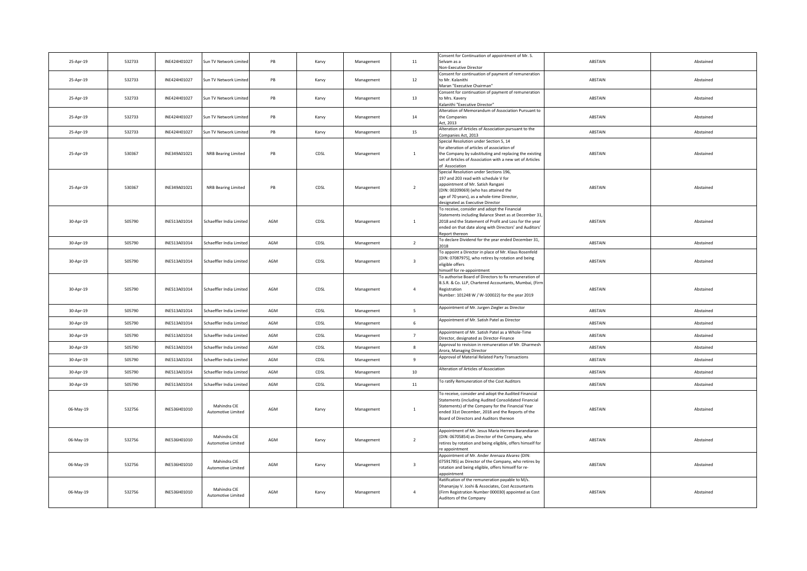| 25-Apr-19 | 532733 | INE424H01027 | Sun TV Network Limited             | PB  | Karvy | Management | 11                      | Consent for Continuation of appointment of Mr. S.<br>Selvam as a                                                                                                                                                                                                  | ABSTAIN | Abstained |
|-----------|--------|--------------|------------------------------------|-----|-------|------------|-------------------------|-------------------------------------------------------------------------------------------------------------------------------------------------------------------------------------------------------------------------------------------------------------------|---------|-----------|
| 25-Apr-19 | 532733 | INE424H01027 | Sun TV Network Limited             | PB  | Karvy | Management | 12                      | Non-Executive Director<br>Consent for continuation of payment of remuneration<br>to Mr. Kalanithi                                                                                                                                                                 | ABSTAIN | Abstained |
|           |        |              |                                    |     |       |            |                         | Maran "Executive Chairman"<br>Consent for continuation of payment of remuneration                                                                                                                                                                                 |         |           |
| 25-Apr-19 | 532733 | INE424H01027 | Sun TV Network Limited             | PB  | Karvy | Management | 13                      | to Mrs. Kavery<br>Kalanithi "Executive Director"                                                                                                                                                                                                                  | ABSTAIN | Abstained |
| 25-Apr-19 | 532733 | INE424H01027 | Sun TV Network Limited             | PB  | Karvy | Management | 14                      | Alteration of Memorandum of Association Pursuant to<br>the Companies                                                                                                                                                                                              | ABSTAIN | Abstained |
| 25-Apr-19 | 532733 | INE424H01027 | Sun TV Network Limited             | PB  | Karvy | Management | 15                      | Act, 2013<br>Alteration of Articles of Association pursuant to the<br>Companies Act, 2013                                                                                                                                                                         | ABSTAIN | Abstained |
|           |        |              |                                    |     |       |            |                         | Special Resolution under Section 5, 14                                                                                                                                                                                                                            |         |           |
| 25-Apr-19 | 530367 | INE349A01021 | NRB Bearing Limited                | PB  | CDSL  | Management | $\mathbf{1}$            | for alteration of articles of association of<br>the Company by substituting and replacing the existing<br>set of Articles of Association with a new set of Articles                                                                                               | ABSTAIN | Abstained |
| 25-Apr-19 | 530367 | INE349A01021 | NRB Bearing Limited                | PB  | CDSL  | Management | $\overline{2}$          | of Association<br>Special Resolution under Sections 196,<br>197 and 203 read with schedule V for<br>appointment of Mr. Satish Rangani<br>(DIN: 00209069) (who has attained the<br>age of 70 years), as a whole-time Director,<br>designated as Executive Director | ABSTAIN | Abstained |
| 30-Apr-19 | 505790 | INE513A01014 | Schaeffler India Limited           | AGM | CDSL  | Management | 1                       | To receive, consider and adopt the Financial<br>Statements including Balance Sheet as at December 31<br>2018 and the Statement of Profit and Loss for the year<br>ended on that date along with Directors' and Auditors'<br>eport thereon                         | ABSTAIN | Abstained |
| 30-Apr-19 | 505790 | INE513A01014 | Schaeffler India Limited           | AGM | CDSL  | Management | $\overline{2}$          | To declare Dividend for the year ended December 31,                                                                                                                                                                                                               | ABSTAIN | Abstained |
| 30-Apr-19 | 505790 | INE513A01014 | Schaeffler India Limited           | AGM | CDSL  | Management | $\overline{\mathbf{3}}$ | To appoint a Director in place of Mr. Klaus Rosenfeld<br>[DIN: 07087975], who retires by rotation and being<br>eligible offers<br>mself for re-appointment                                                                                                        | ABSTAIN | Abstained |
| 30-Apr-19 | 505790 | INE513A01014 | Schaeffler India Limited           | AGM | CDSL  | Management | $\overline{a}$          | To authorise Board of Directors to fix remuneration of<br>B.S.R. & Co. LLP, Chartered Accountants, Mumbai, (Firm<br>Registration<br>Number: 101248 W / W-100022) for the year 2019                                                                                | ABSTAIN | Abstained |
| 30-Apr-19 | 505790 | INE513A01014 | Schaeffler India Limited           | AGM | CDSL  | Management | -5.                     | Appointment of Mr. Jurgen Ziegler as Director                                                                                                                                                                                                                     | ABSTAIN | Abstained |
| 30-Apr-19 | 505790 | INE513A01014 | Schaeffler India Limited           | AGM | CDSL  | Management | 6                       | Appointment of Mr. Satish Patel as Director                                                                                                                                                                                                                       | ABSTAIN | Abstained |
| 30-Apr-19 | 505790 | INE513A01014 | Schaeffler India Limited           | AGM | CDSL  | Management | $\overline{7}$          | Appointment of Mr. Satish Patel as a Whole-Time<br>Director, designated as Director-Finance                                                                                                                                                                       | ABSTAIN | Abstained |
| 30-Apr-19 | 505790 | INE513A01014 | Schaeffler India Limited           | AGM | CDSL  | Management | 8                       | Approval to revision in remuneration of Mr. Dharmesh<br>Arora, Managing Director                                                                                                                                                                                  | ABSTAIN | Abstained |
| 30-Apr-19 | 505790 | INE513A01014 | Schaeffler India Limited           | AGM | CDSL  | Management | $\mathbf{q}$            | Approval of Material Related Party Transactions                                                                                                                                                                                                                   | ABSTAIN | Abstained |
| 30-Apr-19 | 505790 | INE513A01014 | Schaeffler India Limited           | AGM | CDSL  | Management | $10\,$                  | Alteration of Articles of Association                                                                                                                                                                                                                             | ABSTAIN | Abstained |
| 30-Apr-19 | 505790 | INE513A01014 | Schaeffler India Limited           | AGM | CDSL  | Management | 11                      | To ratify Remuneration of the Cost Auditors                                                                                                                                                                                                                       | ABSTAIN | Abstained |
| 06-May-19 | 532756 | INE536H01010 | Mahindra CIE<br>Automotive Limited | AGM | Karvy | Management | 1                       | To receive, consider and adopt the Audited Financial<br>Statements (including Audited Consolidated Financial<br>Statements) of the Company for the Financial Year<br>ended 31st December, 2018 and the Reports of the<br>Board of Directors and Auditors thereon  | ABSTAIN | Abstained |
| 06-May-19 | 532756 | INE536H01010 | Mahindra CIE<br>Automotive Limited | AGM | Karvy | Management | $\overline{2}$          | Appointment of Mr. Jesus Maria Herrera Barandiaran<br>(DIN: 06705854) as Director of the Company, who<br>retires by rotation and being eligible, offers himself for<br>re annointment                                                                             | ABSTAIN | Abstained |
| 06-May-19 | 532756 | INE536H01010 | Mahindra CIE<br>Automotive Limited | AGM | Karvy | Management | $\overline{\mathbf{3}}$ | Appointment of Mr. Ander Arenaza Alvarez (DIN:<br>07591785) as Director of the Company, who retires by<br>rotation and being eligible, offers himself for re-<br>appointment                                                                                      | ABSTAIN | Abstained |
| 06-May-19 | 532756 | INE536H01010 | Mahindra CIE<br>Automotive Limited | AGM | Karvy | Management | $\overline{a}$          | Ratification of the remuneration payable to M/s.<br>Dhananjay V. Joshi & Associates, Cost Accountants<br>(Firm Registration Number 000030) appointed as Cost<br>Auditors of the Company                                                                           | ABSTAIN | Abstained |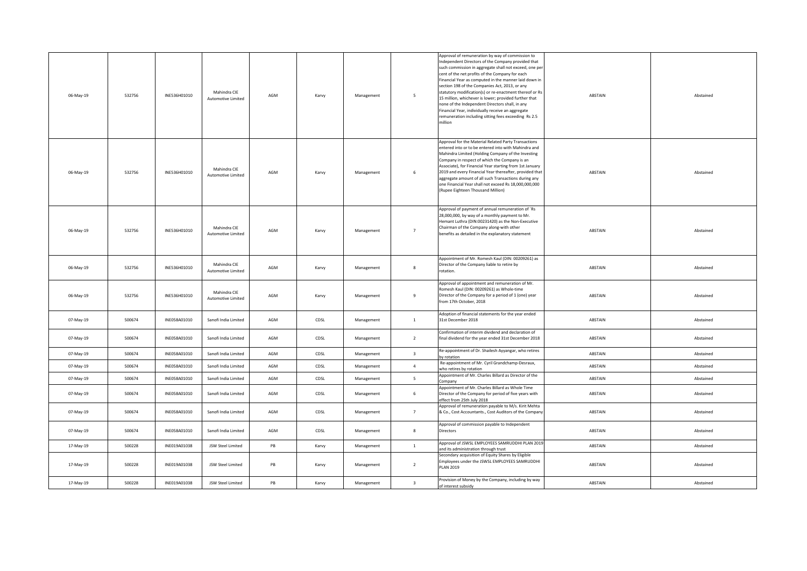| 06-May-19 | 532756 | INE536H01010 | Mahindra CIE<br><b>Automotive Limited</b> | AGM | Karvy | Management | $5\overline{5}$         | Approval of remuneration by way of commission to<br>Independent Directors of the Company provided that<br>such commission in aggregate shall not exceed, one per<br>cent of the net profits of the Company for each<br>Financial Year as computed in the manner laid down in<br>section 198 of the Companies Act, 2013, or any<br>statutory modification(s) or re-enactment thereof or Rs<br>15 million, whichever is lower; provided further that<br>none of the Independent Directors shall, in any<br>Financial Year, individually receive an aggregate<br>emuneration including sitting fees exceeding Rs 2.5<br>million | ABSTAIN | Abstained |
|-----------|--------|--------------|-------------------------------------------|-----|-------|------------|-------------------------|------------------------------------------------------------------------------------------------------------------------------------------------------------------------------------------------------------------------------------------------------------------------------------------------------------------------------------------------------------------------------------------------------------------------------------------------------------------------------------------------------------------------------------------------------------------------------------------------------------------------------|---------|-----------|
| 06-May-19 | 532756 | INE536H01010 | Mahindra CIE<br><b>Automotive Limited</b> | AGM | Karvy | Management | $\,$ 6 $\,$             | Approval for the Material Related Party Transactions<br>entered into or to be entered into with Mahindra and<br>Mahindra Limited (Holding Company of the Investing<br>Company in respect of which the Company is an<br>Associate), for Financial Year starting from 1st January<br>2019 and every Financial Year thereafter, provided that<br>aggregate amount of all such Transactions during any<br>one Financial Year shall not exceed Rs 18,000,000,000<br>(Rupee Eighteen Thousand Million)                                                                                                                             | ABSTAIN | Abstained |
| 06-May-19 | 532756 | INE536H01010 | Mahindra CIE<br><b>Automotive Limited</b> | AGM | Karvy | Management | $7^{\circ}$             | Approval of payment of annual remuneration of `Rs<br>28,000,000, by way of a monthly payment to Mr.<br>Hemant Luthra (DIN:00231420) as the Non-Executive<br>Chairman of the Company along-with other<br>benefits as detailed in the explanatory statement                                                                                                                                                                                                                                                                                                                                                                    | ABSTAIN | Abstained |
| 06-May-19 | 532756 | INE536H01010 | Mahindra CIE<br>Automotive Limited        | AGM | Karvy | Management | 8                       | Appointment of Mr. Romesh Kaul (DIN: 00209261) as<br>Director of the Company liable to retire by<br>rotation.                                                                                                                                                                                                                                                                                                                                                                                                                                                                                                                | ABSTAIN | Abstained |
| 06-May-19 | 532756 | INE536H01010 | Mahindra CIE<br><b>Automotive Limited</b> | AGM | Karvy | Management | 9                       | Approval of appointment and remuneration of Mr.<br>Romesh Kaul (DIN: 00209261) as Whole-time<br>Director of the Company for a period of 1 (one) year<br>rom 17th October, 2018                                                                                                                                                                                                                                                                                                                                                                                                                                               | ABSTAIN | Abstained |
| 07-May-19 | 500674 | INE058A01010 | Sanofi India Limited                      | AGM | CDSL  | Management | $\mathbf{1}$            | Adoption of financial statements for the year ended<br>31st December 2018                                                                                                                                                                                                                                                                                                                                                                                                                                                                                                                                                    | ABSTAIN | Abstained |
| 07-May-19 | 500674 | INE058A01010 | Sanofi India Limited                      | AGM | CDSL  | Management | $\overline{2}$          | Confirmation of interim dividend and declaration of<br>final dividend for the year ended 31st December 2018                                                                                                                                                                                                                                                                                                                                                                                                                                                                                                                  | ABSTAIN | Abstained |
| 07-May-19 | 500674 | INE058A01010 | Sanofi India Limited                      | AGM | CDSL  | Management | $\overline{\mathbf{3}}$ | Re-appointment of Dr. Shailesh Ayyangar, who retires<br>by rotation                                                                                                                                                                                                                                                                                                                                                                                                                                                                                                                                                          | ABSTAIN | Abstained |
| 07-May-19 | 500674 | INE058A01010 | Sanofi India Limited                      | AGM | CDSL  | Management | $\overline{4}$          | Re-appointment of Mr. Cyril Grandchamp-Desraux,<br>who retires by rotation                                                                                                                                                                                                                                                                                                                                                                                                                                                                                                                                                   | ABSTAIN | Abstained |
| 07-May-19 | 500674 | INE058A01010 | Sanofi India Limited                      | AGM | CDSL  | Management | 5                       | Appointment of Mr. Charles Billard as Director of the<br>Company                                                                                                                                                                                                                                                                                                                                                                                                                                                                                                                                                             | ABSTAIN | Abstained |
| 07-May-19 | 500674 | INE058A01010 | Sanofi India Limited                      | AGM | CDSL  | Management | 6                       | Appointment of Mr. Charles Billard as Whole Time<br>Director of the Company for period of five years with<br>effect from 25th July 2018                                                                                                                                                                                                                                                                                                                                                                                                                                                                                      | ABSTAIN | Abstained |
| 07-May-19 | 500674 | INE058A01010 | Sanofi India Limited                      | AGM | CDSL  | Management | $7^{\circ}$             | Approval of remuneration payable to M/s. Kirit Mehta<br>& Co., Cost Accountants., Cost Auditors of the Company                                                                                                                                                                                                                                                                                                                                                                                                                                                                                                               | ABSTAIN | Abstained |
| 07-May-19 | 500674 | INE058A01010 | Sanofi India Limited                      | AGM | CDSL  | Management | $\boldsymbol{8}$        | Approval of commission payable to Independent<br><b>Directors</b>                                                                                                                                                                                                                                                                                                                                                                                                                                                                                                                                                            | ABSTAIN | Abstained |
| 17-May-19 | 500228 | INE019A01038 | JSW Steel Limited                         | PB  | Karvy | Management | 1                       | Approval of JSWSL EMPLOYEES SAMRUDDHI PLAN 2019<br>and its administration through trust                                                                                                                                                                                                                                                                                                                                                                                                                                                                                                                                      | ABSTAIN | Abstained |
| 17-May-19 | 500228 | INE019A01038 | JSW Steel Limited                         | PB  | Karvy | Management | $\overline{2}$          | Secondary acquisition of Equity Shares by Eligible<br>Employees under the JSWSL EMPLOYEES SAMRUDDHI<br><b>PLAN 2019</b>                                                                                                                                                                                                                                                                                                                                                                                                                                                                                                      | ABSTAIN | Abstained |
| 17-May-19 | 500228 | INE019A01038 | JSW Steel Limited                         | PB  | Karvy | Management | $\overline{\mathbf{3}}$ | Provision of Money by the Company, including by way<br>of interest subsidy                                                                                                                                                                                                                                                                                                                                                                                                                                                                                                                                                   | ABSTAIN | Abstained |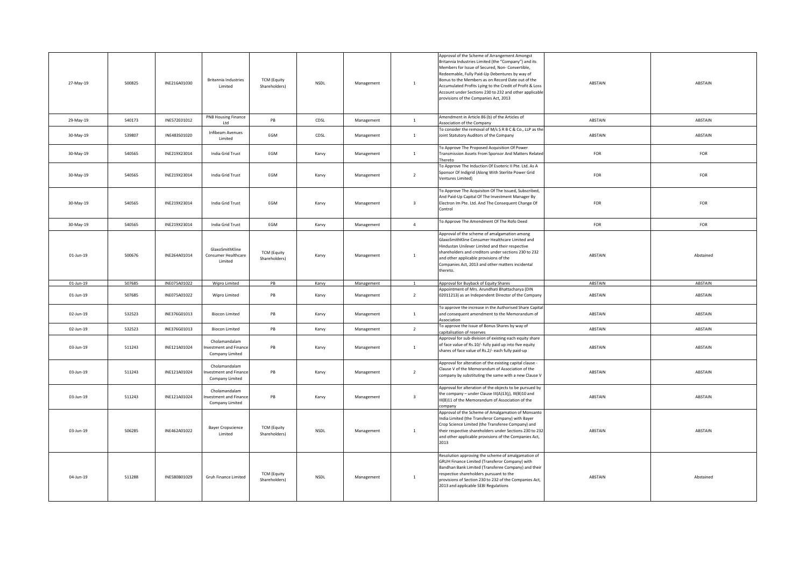| 27-May-19    | 500825 | INE216A01030 | <b>Britannia Industries</b><br>Limited                           | <b>TCM</b> (Equity<br>Shareholders) | <b>NSDL</b> | Management | $\mathbf{1}$            | Approval of the Scheme of Arrangement Amongst<br>Britannia Industries Limited (the "Company") and its<br>Members for Issue of Secured, Non- Convertible,<br>Redeemable, Fully Paid-Up Debentures by way of<br>Bonus to the Members as on Record Date out of the<br>Accumulated Profits Lying to the Credit of Profit & Loss<br>Account under Sections 230 to 232 and other applicable<br>provisions of the Companies Act, 2013 | ABSTAIN | ABSTAIN   |
|--------------|--------|--------------|------------------------------------------------------------------|-------------------------------------|-------------|------------|-------------------------|--------------------------------------------------------------------------------------------------------------------------------------------------------------------------------------------------------------------------------------------------------------------------------------------------------------------------------------------------------------------------------------------------------------------------------|---------|-----------|
| 29-May-19    | 540173 | INE572E01012 | PNB Housing Finance<br>Ltd                                       | PB                                  | CDSL        | Management | $\mathbf{1}$            | Amendment in Article 86 (b) of the Articles of<br>Association of the Company                                                                                                                                                                                                                                                                                                                                                   | ABSTAIN | ABSTAIN   |
| 30-May-19    | 539807 | INE483S01020 | Infibeam Avenues<br>Limited                                      | EGM                                 | CDSL        | Management | $\mathbf{1}$            | To consider the removal of M/s S R B C & Co., LLP as the<br>Joint Statutory Auditors of the Company                                                                                                                                                                                                                                                                                                                            | ABSTAIN | ABSTAIN   |
| 30-May-19    | 540565 | INE219X23014 | India Grid Trust                                                 | EGM                                 | Karvy       | Management | $\mathbf{1}$            | To Approve The Proposed Acquisition Of Power<br>Transmission Assets From Sponsor And Matters Related<br>Thereto                                                                                                                                                                                                                                                                                                                | FOR     | FOR       |
| 30-May-19    | 540565 | INE219X23014 | India Grid Trust                                                 | EGM                                 | Karvy       | Management | $\overline{2}$          | To Approve The Induction Of Esoteric II Pte. Ltd. As A<br>Sponsor Of Indigrid (Along With Sterlite Power Grid<br>Ventures Limited)                                                                                                                                                                                                                                                                                             | FOR     | FOR       |
| 30-May-19    | 540565 | INE219X23014 | India Grid Trust                                                 | EGM                                 | Karvy       | Management | $\overline{\mathbf{3}}$ | To Approve The Acquisiton Of The Issued, Subscribed,<br>And Paid-Up Capital Of The Investment Manager By<br>Electron Im Pte. Ltd. And The Consequent Change Of<br>Control                                                                                                                                                                                                                                                      | FOR     | FOR       |
| 30-May-19    | 540565 | INE219X23014 | India Grid Trust                                                 | EGM                                 | Karvy       | Management | $\overline{4}$          | To Approve The Amendment Of The Rofo Deed                                                                                                                                                                                                                                                                                                                                                                                      | FOR     | FOR       |
| $01$ -Jun-19 | 500676 | INE264A01014 | GlaxoSmithKline<br>Consumer Healthcare<br>Limited                | <b>TCM (Equity</b><br>Shareholders) | Karvy       | Management | $\mathbf{1}$            | Approval of the scheme of amalgamation among<br>GlaxoSmithKline Consumer Healthcare Limited and<br>Hindustan Unilever Limited and their respective<br>shareholders and creditors under sections 230 to 232<br>and other applicable provisions of the<br>Companies Act, 2013 and other matters incidental<br>thereto.                                                                                                           | ABSTAIN | Abstained |
| $01$ -Jun-19 |        |              |                                                                  |                                     |             |            |                         |                                                                                                                                                                                                                                                                                                                                                                                                                                |         |           |
|              | 507685 | INE075A01022 | Wipro Limited                                                    | PB                                  | Karvy       | Management | $\mathbf{1}$            | Approval for Buyback of Equity Shares                                                                                                                                                                                                                                                                                                                                                                                          | ABSTAIN | ABSTAIN   |
| $01$ -Jun-19 | 507685 | INE075A01022 | Wipro Limited                                                    | PB                                  | Karvy       | Management | $\overline{2}$          | Appointment of Mrs. Arundhati Bhattacharya (DIN<br>02011213) as an Independent Director of the Company                                                                                                                                                                                                                                                                                                                         | ABSTAIN | ABSTAIN   |
| 02-Jun-19    | 532523 | INE376G01013 | <b>Biocon Limited</b>                                            | PB                                  | Karvy       | Management | $\mathbf{1}$            | To approve the increase in the Authorised Share Capita<br>and consequent amendment to the Memorandum of<br>Association                                                                                                                                                                                                                                                                                                         | ABSTAIN | ABSTAIN   |
| 02-Jun-19    | 532523 | INE376G01013 | <b>Biocon Limited</b>                                            | PB                                  | Karvy       | Management | $\overline{2}$          | To approve the issue of Bonus Shares by way of<br>apitalisation of reserves                                                                                                                                                                                                                                                                                                                                                    | ABSTAIN | ABSTAIN   |
| 03-Jun-19    | 511243 | INE121A01024 | Cholamandalam<br>nvestment and Finance<br>Company Limited        | PB                                  | Karvy       | Management | <sup>1</sup>            | Approval for sub-division of existing each equity share<br>of face value of Rs.10/- fully paid up into five equity<br>shares of face value of Rs.2/- each fully paid-up                                                                                                                                                                                                                                                        | ABSTAIN | ABSTAIN   |
| 03-Jun-19    | 511243 | INE121A01024 | Cholamandalam<br>nvestment and Finance<br>Company Limited        | PB                                  | Karvy       | Management | $\overline{2}$          | Approval for alteration of the existing capital clause -<br>Clause V of the Memorandum of Association of the<br>company by substituting the same with a new Clause V                                                                                                                                                                                                                                                           | ABSTAIN | ABSTAIN   |
| 03-Jun-19    | 511243 | INE121A01024 | Cholamandalam<br><b>nvestment and Finance</b><br>Company Limited | PB                                  | Karvy       | Management | $\overline{\mathbf{3}}$ | Approval for alteration of the objects to be pursued by<br>the company - under Clause III(A)13(j), III(B)10 and<br>III(B)11 of the Memorandum of Association of the<br>company                                                                                                                                                                                                                                                 | ABSTAIN | ABSTAIN   |
| 03-Jun-19    | 506285 | INE462A01022 | <b>Bayer Cropscience</b><br>Limited                              | <b>TCM (Equity</b><br>Shareholders) | <b>NSDL</b> | Management | $\overline{1}$          | Approval of the Scheme of Amalgamation of Monsanto<br>India Limited (the Transferor Company) with Bayer<br>Crop Science Limited (the Transferee Company) and<br>their respective shareholders under Sections 230 to 232<br>and other applicable provisions of the Companies Act,<br>2013                                                                                                                                       | ABSTAIN | ABSTAIN   |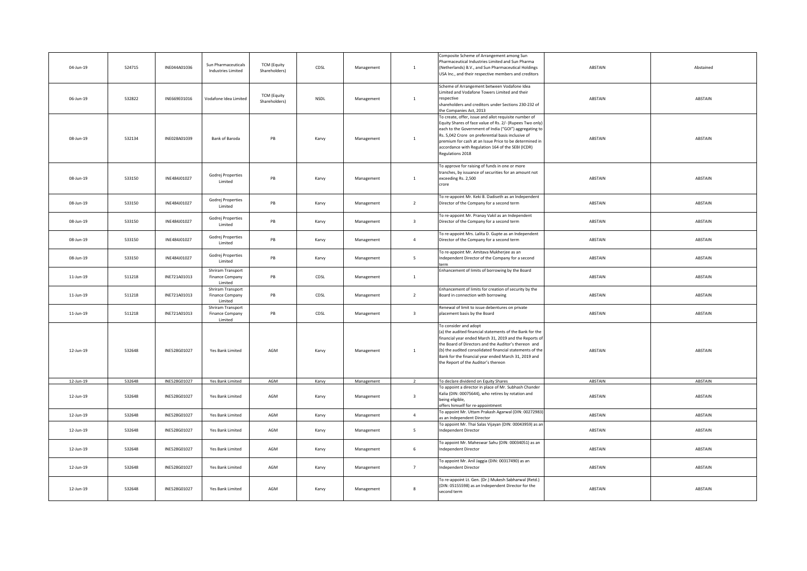| 04-Jun-19    | 524715 | INE044A01036 | Sun Pharmaceuticals<br><b>Industries Limited</b>       | <b>TCM (Equity</b><br>Shareholders) | CDSL        | Management | $\mathbf{1}$            | Composite Scheme of Arrangement among Sun<br>Pharmaceutical Industries Limited and Sun Pharma<br>(Netherlands) B.V., and Sun Pharmaceutical Holdings<br>USA Inc., and their respective members and creditors                                                                                                                                                         | ABSTAIN | Abstained |
|--------------|--------|--------------|--------------------------------------------------------|-------------------------------------|-------------|------------|-------------------------|----------------------------------------------------------------------------------------------------------------------------------------------------------------------------------------------------------------------------------------------------------------------------------------------------------------------------------------------------------------------|---------|-----------|
| 06-Jun-19    | 532822 | INE669E01016 | Vodafone Idea Limited                                  | <b>TCM (Equity</b><br>Shareholders) | <b>NSDL</b> | Management | 1                       | Scheme of Arrangement between Vodafone Idea<br>imited and Vodafone Towers Limited and their<br>respective<br>shareholders and creditors under Sections 230-232 of<br>the Companies Act, 2013                                                                                                                                                                         | ABSTAIN | ABSTAIN   |
| 08-Jun-19    | 532134 | INE028A01039 | Bank of Baroda                                         | PB                                  | Karvy       | Management | $\mathbf{1}$            | To create, offer, issue and allot requisite number of<br>Equity Shares of face value of Rs. 2/- (Rupees Two only)<br>each to the Government of India ("GOI") aggregating to<br>Rs. 5,042 Crore on preferential basis inclusive of<br>premium for cash at an Issue Price to be determined in<br>accordance with Regulation 164 of the SEBI (ICDR)<br>Regulations 2018 | ABSTAIN | ABSTAIN   |
| 08-Jun-19    | 533150 | INE484J01027 | Godrej Properties<br>Limited                           | PB                                  | Karvy       | Management | 1                       | To approve for raising of funds in one or more<br>tranches, by issuance of securities for an amount not<br>exceeding Rs. 2,500<br>crore                                                                                                                                                                                                                              | ABSTAIN | ABSTAIN   |
| 08-Jun-19    | 533150 | INE484J01027 | Godrej Properties<br>Limited                           | PB                                  | Karvy       | Management | $\overline{2}$          | To re-appoint Mr. Keki B. Dadiseth as an Independent<br>Director of the Company for a second term                                                                                                                                                                                                                                                                    | ABSTAIN | ABSTAIN   |
| 08-Jun-19    | 533150 | INE484J01027 | Godrej Properties<br>Limited                           | PB                                  | Karvy       | Management | $\overline{\mathbf{3}}$ | To re-appoint Mr. Pranay Vakil as an Independent<br>Director of the Company for a second term                                                                                                                                                                                                                                                                        | ABSTAIN | ABSTAIN   |
| 08-Jun-19    | 533150 | INE484J01027 | Godrej Properties<br>Limited                           | PB                                  | Karvy       | Management | $\overline{4}$          | To re-appoint Mrs. Lalita D. Gupte as an Independent<br>Director of the Company for a second term                                                                                                                                                                                                                                                                    | ABSTAIN | ABSTAIN   |
| 08-Jun-19    | 533150 | INE484J01027 | Godrej Properties<br>Limited                           | PB                                  | Karvy       | Management | 5 <sup>1</sup>          | To re-appoint Mr. Amitava Mukherjee as an<br>Independent Director of the Company for a second<br>term                                                                                                                                                                                                                                                                | ABSTAIN | ABSTAIN   |
| 11-Jun-19    | 511218 | INE721A01013 | Shriram Transport<br><b>Finance Company</b><br>Limited | PB                                  | CDSL        | Management | 1                       | Enhancement of limits of borrowing by the Board                                                                                                                                                                                                                                                                                                                      | ABSTAIN | ABSTAIN   |
| 11-Jun-19    | 511218 | INE721A01013 | Shriram Transport<br>Finance Company<br>Limited        | PB                                  | CDSL        | Management | $\overline{2}$          | Enhancement of limits for creation of security by the<br>Board in connection with borrowing                                                                                                                                                                                                                                                                          | ABSTAIN | ABSTAIN   |
| 11-Jun-19    | 511218 | INE721A01013 | Shriram Transport<br>Finance Company<br>Limited        | PB                                  | CDSL        | Management | $\overline{\mathbf{3}}$ | Renewal of limit to issue debentures on private<br>placement basis by the Board                                                                                                                                                                                                                                                                                      | ABSTAIN | ABSTAIN   |
| 12-Jun-19    | 532648 | INE528G01027 | Yes Bank Limited                                       | AGM                                 | Karvy       | Management | $\mathbf{1}$            | To consider and adopt<br>(a) the audited financial statements of the Bank for the<br>financial year ended March 31, 2019 and the Reports of<br>the Board of Directors and the Auditor's thereon and<br>(b) the audited consolidated financial statements of the<br>Bank for the financial year ended March 31, 2019 and<br>the Report of the Auditor's thereon       | ABSTAIN | ABSTAIN   |
| $12$ -Jun-19 | 532648 | INE528G01027 | Yes Bank Limited                                       | AGM                                 | Karvy       | Management | $\overline{2}$          | To declare dividend on Equity Shares                                                                                                                                                                                                                                                                                                                                 | ABSTAIN | ABSTAIN   |
| 12-Jun-19    | 532648 | INE528G01027 | Yes Bank Limited                                       | AGM                                 | Karvy       | Management | $\overline{\mathbf{3}}$ | To appoint a director in place of Mr. Subhash Chander<br>Kalia (DIN: 00075644), who retires by rotation and<br>eing eligible,<br>offers himself for re-appointment                                                                                                                                                                                                   | ABSTAIN | ABSTAIN   |
| 12-Jun-19    | 532648 | INE528G01027 | Yes Bank Limited                                       | AGM                                 | Karvy       | Management | $\overline{4}$          | To appoint Mr. Uttam Prakash Agarwal (DIN: 00272983)<br>s an Independent Director                                                                                                                                                                                                                                                                                    | ABSTAIN | ABSTAIN   |
| 12-Jun-19    | 532648 | INE528G01027 | Yes Bank Limited                                       | AGM                                 | Karvy       | Management | 5 <sup>5</sup>          | To appoint Mr. Thai Salas Vijayan (DIN: 00043959) as an<br>Independent Director                                                                                                                                                                                                                                                                                      | ABSTAIN | ABSTAIN   |
| 12-Jun-19    | 532648 | INE528G01027 | Yes Bank Limited                                       | AGM                                 | Karvy       | Management | $6\overline{6}$         | To appoint Mr. Maheswar Sahu (DIN: 00034051) as an<br>Independent Director                                                                                                                                                                                                                                                                                           | ABSTAIN | ABSTAIN   |
| 12-Jun-19    | 532648 | INE528G01027 | Yes Bank Limited                                       | AGM                                 | Karvy       | Management | 7                       | To appoint Mr. Anil Jaggia (DIN: 00317490) as an<br>Independent Director                                                                                                                                                                                                                                                                                             | ABSTAIN | ABSTAIN   |
| 12-Jun-19    | 532648 | INE528G01027 | Yes Bank Limited                                       | AGM                                 | Karvy       | Management | 8                       | To re-appoint Lt. Gen. (Dr.) Mukesh Sabharwal (Retd.)<br>(DIN: 05155598) as an Independent Director for the<br>second term                                                                                                                                                                                                                                           | ABSTAIN | ABSTAIN   |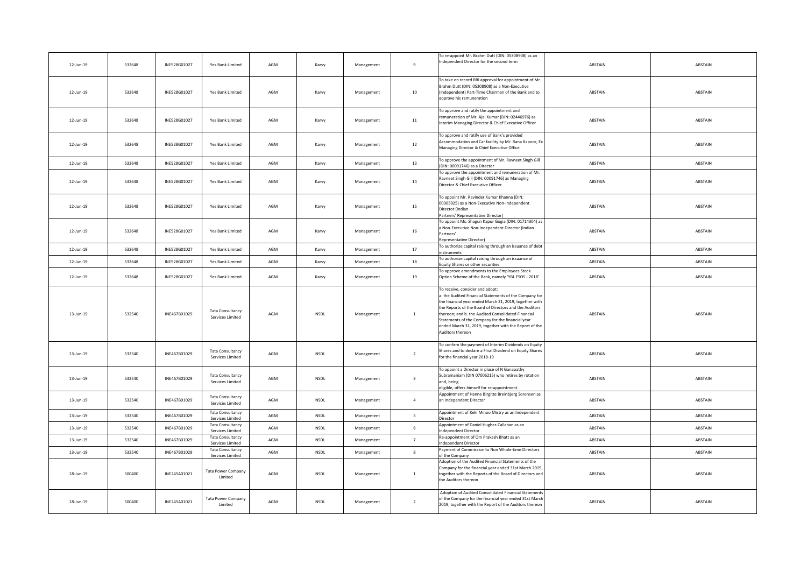| 12-Jun-19 | 532648 | INE528G01027 | Yes Bank Limited                            | AGM | Karvy       | Management | $\overline{9}$          | To re-appoint Mr. Brahm Dutt (DIN: 05308908) as an<br>Independent Director for the second term                                                                                                                                                                                                                                                                                                       | ABSTAIN | ABSTAIN |
|-----------|--------|--------------|---------------------------------------------|-----|-------------|------------|-------------------------|------------------------------------------------------------------------------------------------------------------------------------------------------------------------------------------------------------------------------------------------------------------------------------------------------------------------------------------------------------------------------------------------------|---------|---------|
| 12-Jun-19 | 532648 | INE528G01027 | Yes Bank Limited                            | AGM | Karvy       | Management | 10                      | To take on record RBI approval for appointment of Mr.<br>Brahm Dutt (DIN: 05308908) as a Non-Executive<br>(Independent) Part-Time Chairman of the Bank and to<br>approve his remuneration                                                                                                                                                                                                            | ABSTAIN | ABSTAIN |
| 12-Jun-19 | 532648 | INE528G01027 | Yes Bank Limited                            | AGM | Karvy       | Management | 11                      | To approve and ratify the appointment and<br>remuneration of Mr. Ajai Kumar (DIN: 02446976) as<br>Interim Managing Director & Chief Executive Officer                                                                                                                                                                                                                                                | ABSTAIN | ABSTAIN |
| 12-Jun-19 | 532648 | INE528G01027 | Yes Bank Limited                            | AGM | Karvy       | Management | 12                      | To approve and ratify use of Bank's provided<br>Accommodation and Car facility by Mr. Rana Kapoor, Ex<br>Managing Director & Chief Executive Office                                                                                                                                                                                                                                                  | ABSTAIN | ABSTAIN |
| 12-Jun-19 | 532648 | INE528G01027 | Yes Bank Limited                            | AGM | Karvy       | Management | 13                      | To approve the appointment of Mr. Ravneet Singh Gill<br>(DIN: 00091746) as a Director                                                                                                                                                                                                                                                                                                                | ABSTAIN | ABSTAIN |
| 12-Jun-19 | 532648 | INE528G01027 | Yes Bank Limited                            | AGM | Karvy       | Management | 14                      | To approve the appointment and remuneration of Mr.<br>Ravneet Singh Gill (DIN: 00091746) as Managing<br>Director & Chief Executive Officer                                                                                                                                                                                                                                                           | ABSTAIN | ABSTAIN |
| 12-Jun-19 | 532648 | INE528G01027 | Yes Bank Limited                            | AGM | Karvy       | Management | 15                      | To appoint Mr. Ravinder Kumar Khanna (DIN:<br>00305025) as a Non-Executive Non-Independent<br>Director (Indian<br>Partners' Representative Director)                                                                                                                                                                                                                                                 | ABSTAIN | ABSTAIN |
| 12-Jun-19 | 532648 | INE528G01027 | Yes Bank Limited                            | AGM | Karvy       | Management | 16                      | To appoint Ms. Shagun Kapur Gogia (DIN: 01714304) as<br>Non-Executive Non-Independent Director (Indian<br>Partners'<br>Representative Director)                                                                                                                                                                                                                                                      | ABSTAIN | ABSTAIN |
| 12-Jun-19 | 532648 | INE528G01027 | Yes Bank Limited                            | AGM | Karvy       | Management | 17                      | To authorize capital raising through an issuance of debt<br>nstruments                                                                                                                                                                                                                                                                                                                               | ABSTAIN | ABSTAIN |
| 12-Jun-19 | 532648 | INE528G01027 | Yes Bank Limited                            | AGM | Karvy       | Management | 18                      | To authorize capital raising through an issuance of<br>Equity Shares or other securities                                                                                                                                                                                                                                                                                                             | ABSTAIN | ABSTAIN |
| 12-Jun-19 | 532648 | INE528G01027 | Yes Bank Limited                            | AGM | Karvy       | Management | 19                      | To approve amendments to the Employees Stock<br>Option Scheme of the Bank, namely 'YBL ESOS - 2018'                                                                                                                                                                                                                                                                                                  | ABSTAIN | ABSTAIN |
| 13-Jun-19 | 532540 | INE467B01029 | <b>Tata Consultancy</b><br>Services Limited | AGM | <b>NSDL</b> | Management | $\mathbf{1}$            | To receive, consider and adopt:<br>a. the Audited Financial Statements of the Company for<br>the financial year ended March 31, 2019, together with<br>the Reports of the Board of Directors and the Auditors<br>thereon; and b. the Audited Consolidated Financial<br>Statements of the Company for the financial year<br>ended March 31, 2019, together with the Report of the<br>Auditors thereon | ABSTAIN | ABSTAIN |
| 13-Jun-19 | 532540 | INE467B01029 | <b>Tata Consultancy</b><br>Services Limited | AGM | <b>NSDL</b> | Management | $\overline{2}$          | To confirm the payment of Interim Dividends on Equity<br>Shares and to declare a Final Dividend on Equity Shares<br>for the financial year 2018-19                                                                                                                                                                                                                                                   | ABSTAIN | ABSTAIN |
| 13-Jun-19 | 532540 | INE467B01029 | <b>Tata Consultancy</b><br>Services Limited | AGM | NSDL        | Management | $\overline{\mathbf{3}}$ | To appoint a Director in place of N Ganapathy<br>Subramaniam (DIN 07006215) who retires by rotation<br>and, being<br>eligible, offers himself for re-appointment                                                                                                                                                                                                                                     | ABSTAIN | ABSTAIN |
| 13-Jun-19 | 532540 | INE467B01029 | <b>Tata Consultancy</b><br>Services Limited | AGM | <b>NSDL</b> | Management | $\overline{4}$          | Appointment of Hanne Birgitte Breinbjerg Sorensen as<br>an Independent Director                                                                                                                                                                                                                                                                                                                      | ABSTAIN | ABSTAIN |
| 13-Jun-19 | 532540 | INE467B01029 | <b>Tata Consultancy</b><br>Services Limited | AGM | <b>NSDL</b> | Management | 5                       | Appointment of Keki Minoo Mistry as an Independent<br>Director                                                                                                                                                                                                                                                                                                                                       | ABSTAIN | ABSTAIN |
| 13-Jun-19 | 532540 | INE467B01029 | <b>Tata Consultancy</b><br>Services Limited | AGM | <b>NSDL</b> | Management | 6                       | Appointment of Daniel Hughes Callahan as an<br>Independent Director                                                                                                                                                                                                                                                                                                                                  | ABSTAIN | ABSTAIN |
| 13-Jun-19 | 532540 | INE467B01029 | <b>Tata Consultancy</b><br>Services Limited | AGM | <b>NSDL</b> | Management | $\overline{7}$          | Re-appointment of Om Prakash Bhatt as an<br>Independent Director                                                                                                                                                                                                                                                                                                                                     | ABSTAIN | ABSTAIN |
| 13-Jun-19 | 532540 | INE467B01029 | <b>Tata Consultancy</b><br>Services Limited | AGM | <b>NSDL</b> | Management | $\bf{8}$                | Payment of Commission to Non Whole-time Directors<br>of the Company                                                                                                                                                                                                                                                                                                                                  | ABSTAIN | ABSTAIN |
| 18-Jun-19 | 500400 | INE245A01021 | Tata Power Company<br>Limited               | AGM | NSDL        | Management | $\mathbf 1$             | Adoption of the Audited Financial Statements of the<br>Company for the financial year ended 31st March 2019,<br>together with the Reports of the Board of Directors and<br>the Auditors thereon                                                                                                                                                                                                      | ABSTAIN | ABSTAIN |
| 18-Jun-19 | 500400 | INE245A01021 | Tata Power Company<br>Limited               | AGM | <b>NSDL</b> | Management | $\overline{2}$          | Adoption of Audited Consolidated Financial Statements<br>of the Company for the financial year ended 31st March<br>2019, together with the Report of the Auditors thereon                                                                                                                                                                                                                            | ABSTAIN | ABSTAIN |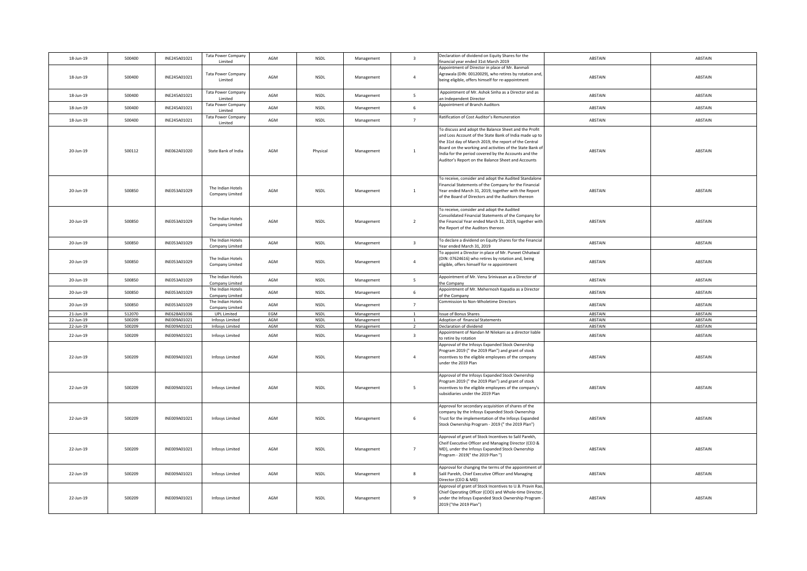| 18-Jun-19    | 500400 | INE245A01021 | <b>Tata Power Company</b><br>Limited | AGM | <b>NSDL</b> | Management | $\overline{\mathbf{3}}$  | Declaration of dividend on Equity Shares for the<br>financial year ended 31st March 2019                                                                                                                                                                                                                                                           | ABSTAIN        | ABSTAIN |
|--------------|--------|--------------|--------------------------------------|-----|-------------|------------|--------------------------|----------------------------------------------------------------------------------------------------------------------------------------------------------------------------------------------------------------------------------------------------------------------------------------------------------------------------------------------------|----------------|---------|
|              |        |              |                                      |     |             |            |                          | Appointment of Director in place of Mr. Banmali                                                                                                                                                                                                                                                                                                    |                |         |
| 18-Jun-19    | 500400 | INE245A01021 | Tata Power Company<br>Limited        | AGM | <b>NSDL</b> | Management | $\overline{4}$           | Agrawala (DIN: 00120029), who retires by rotation and,<br>being eligible, offers himself for re-appointment                                                                                                                                                                                                                                        | ABSTAIN        | ABSTAIN |
| 18-Jun-19    | 500400 | INE245A01021 | <b>Tata Power Company</b><br>Limited | AGM | NSDL        | Management | 5                        | Appointment of Mr. Ashok Sinha as a Director and as<br>an Independent Director                                                                                                                                                                                                                                                                     | ABSTAIN        | ABSTAIN |
| 18-Jun-19    | 500400 | INE245A01021 | <b>Tata Power Company</b><br>Limited | AGM | <b>NSDL</b> | Management | 6                        | Appointment of Branch Auditors                                                                                                                                                                                                                                                                                                                     | ABSTAIN        | ABSTAIN |
| 18-Jun-19    | 500400 | INE245A01021 | <b>Tata Power Company</b><br>Limited | AGM | <b>NSDL</b> | Management | $7^{\circ}$              | Ratification of Cost Auditor's Remuneration                                                                                                                                                                                                                                                                                                        | ABSTAIN        | ABSTAIN |
| 20-Jun-19    | 500112 | INE062A01020 | State Bank of India                  | AGM | Physical    | Management | $\mathbf{1}$             | To discuss and adopt the Balance Sheet and the Profit<br>and Loss Account of the State Bank of India made up to<br>the 31st day of March 2019, the report of the Central<br>Board on the working and activities of the State Bank of<br>India for the period covered by the Accounts and the<br>Auditor's Report on the Balance Sheet and Accounts | ABSTAIN        | ABSTAIN |
| 20-Jun-19    | 500850 | INE053A01029 | The Indian Hotels<br>Company Limited | AGM | <b>NSDL</b> | Management | $\mathbf{1}$             | To receive, consider and adopt the Audited Standalone<br>Financial Statements of the Company for the Financial<br>Year ended March 31, 2019, together with the Report<br>of the Board of Directors and the Auditors thereon                                                                                                                        | ABSTAIN        | ABSTAIN |
| 20-Jun-19    | 500850 | INE053A01029 | The Indian Hotels<br>Company Limited | AGM | NSDL        | Management | $\overline{2}$           | To receive, consider and adopt the Audited<br>Consolidated Financial Statements of the Company for<br>the Financial Year ended March 31, 2019, together with<br>the Report of the Auditors thereon                                                                                                                                                 | ABSTAIN        | ABSTAIN |
| 20-Jun-19    | 500850 | INE053A01029 | The Indian Hotels<br>Company Limited | AGM | <b>NSDL</b> | Management | $\overline{\mathbf{3}}$  | To declare a dividend on Equity Shares for the Financial<br>Year ended March 31, 2019                                                                                                                                                                                                                                                              | ABSTAIN        | ABSTAIN |
| 20-Jun-19    | 500850 | INE053A01029 | The Indian Hotels<br>Company Limited | AGM | NSDL        | Management | $\overline{4}$           | To appoint a Director in place of Mr. Puneet Chhatwal<br>(DIN: 07624616) who retires by rotation and, being<br>eligible, offers himself for re appointment                                                                                                                                                                                         | ABSTAIN        | ABSTAIN |
| 20-Jun-19    | 500850 | INE053A01029 | The Indian Hotels<br>Company Limited | AGM | NSDL        | Management | $\overline{\phantom{0}}$ | Appointment of Mr. Venu Srinivasan as a Director of<br>the Company                                                                                                                                                                                                                                                                                 | ABSTAIN        | ABSTAIN |
| 20-Jun-19    | 500850 | INE053A01029 | The Indian Hotels<br>Company Limited | AGM | <b>NSDL</b> | Management | $6\overline{6}$          | Appointment of Mr. Mehernosh Kapadia as a Director<br>of the Company                                                                                                                                                                                                                                                                               | ABSTAIN        | ABSTAIN |
| 20-Jun-19    | 500850 | INE053A01029 | The Indian Hotels<br>Company Limited | AGM | <b>NSDL</b> | Management | $\overline{7}$           | Commission to Non-Wholetime Directors                                                                                                                                                                                                                                                                                                              | ABSTAIN        | ABSTAIN |
| $21$ -Jun-19 | 512070 | INE628A01036 | <b>UPL Limited</b>                   | EGM | <b>NSDL</b> | Management | <sup>1</sup>             | <b>Issue of Bonus Shares</b>                                                                                                                                                                                                                                                                                                                       | <b>ABSTAIN</b> | ABSTAIN |
| $22$ -Jun-19 | 500209 | INE009A01021 | Infosys Limited                      | AGM | <b>NSDL</b> | Management | $\mathbf{1}$             | Adoption of financial Statements                                                                                                                                                                                                                                                                                                                   | <b>ABSTAIN</b> | ABSTAIN |
| 22-Jun-19    | 500209 | INE009A01021 | Infosys Limited                      | AGM | <b>NSDL</b> | Management | $\overline{2}$           | Declaration of dividend                                                                                                                                                                                                                                                                                                                            | ABSTAIN        | ABSTAIN |
| 22-Jun-19    | 500209 | INE009A01021 | Infosys Limited                      | AGM | <b>NSDL</b> | Management | $\overline{\mathbf{3}}$  | Appointment of Nandan M Nilekani as a director liable<br>to retire by rotation                                                                                                                                                                                                                                                                     | ABSTAIN        | ABSTAIN |
| 22-Jun-19    | 500209 | INE009A01021 | Infosys Limited                      | AGM | <b>NSDL</b> | Management | $\overline{4}$           | Approval of the Infosys Expanded Stock Ownership<br>Program 2019 ("the 2019 Plan") and grant of stock<br>incentives to the eligible employees of the company<br>under the 2019 Plan                                                                                                                                                                | ABSTAIN        | ABSTAIN |
| 22-Jun-19    | 500209 | INE009A01021 | <b>Infosys Limited</b>               | AGM | <b>NSDL</b> | Management | $5\overline{5}$          | Approval of the Infosys Expanded Stock Ownership<br>Program 2019 (" the 2019 Plan") and grant of stock<br>incentives to the eligible employees of the company's<br>subsidiaries under the 2019 Plan                                                                                                                                                | ABSTAIN        | ABSTAIN |
| 22-Jun-19    | 500209 | INE009A01021 | Infosys Limited                      | AGM | <b>NSDL</b> | Management | 6                        | Approval for secondary acquisition of shares of the<br>company by the Infosys Expanded Stock Ownership<br>Trust for the implementation of the Infosys Expanded<br>Stock Ownership Program - 2019 (" the 2019 Plan")                                                                                                                                | ABSTAIN        | ABSTAIN |
| 22-Jun-19    | 500209 | INE009A01021 | Infosys Limited                      | AGM | NSDL        | Management | $\overline{7}$           | Approval of grant of Stock Incentives to Salil Parekh,<br>Cheif Executive Officer and Managing Director (CEO &<br>MD), under the Infosys Expanded Stock Ownership<br>Program - 2019(" the 2019 Plan ")                                                                                                                                             | ABSTAIN        | ABSTAIN |
| 22-Jun-19    | 500209 | INE009A01021 | Infosys Limited                      | AGM | NSDL        | Management | $\bf 8$                  | Approval for changing the terms of the appointment of<br>Salil Parekh, Chief Executive Officer and Managing<br>Director (CEO & MD)                                                                                                                                                                                                                 | ABSTAIN        | ABSTAIN |
| 22-Jun-19    | 500209 | INE009A01021 | <b>Infosys Limited</b>               | AGM | NSDL        | Management | $\mathsf g$              | Approval of grant of Stock Incentives to U.B. Pravin Rao,<br>Chief Operating Officer (COO) and Whole-time Director,<br>under the Infosys Expanded Stock Ownership Program<br>2019 ("the 2019 Plan")                                                                                                                                                | ABSTAIN        | ABSTAIN |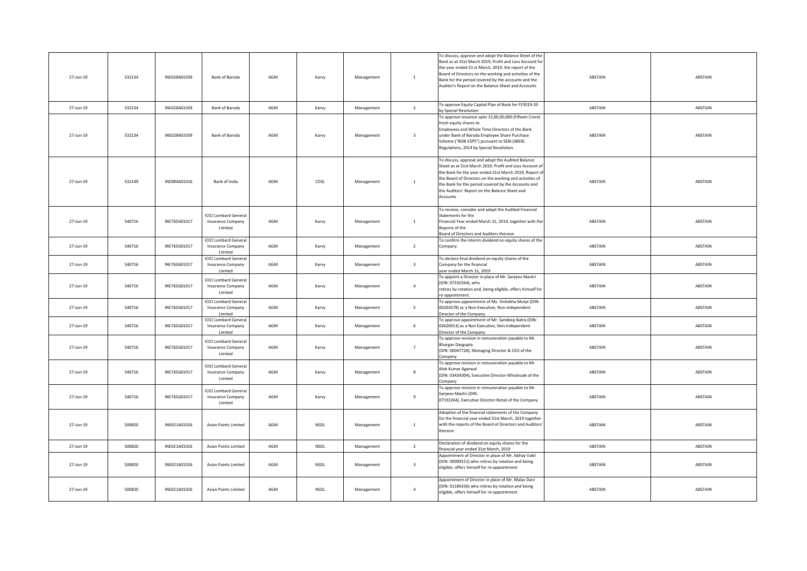| 27-Jun-19 | 532134 | INE028A01039 | Bank of Baroda                                                            | AGM | Karvy       | Management | 1                       | To discuss, approve and adopt the Balance Sheet of the<br>Bank as at 31st March 2019, Profit and Loss Account for<br>the year ended 31 st March, 2019, the report of the<br>Board of Directors on the working and activities of the<br>Bank for the period covered by the accounts and the<br>Auditor's Report on the Balance Sheet and Accounts     | ABSTAIN | ABSTAIN |
|-----------|--------|--------------|---------------------------------------------------------------------------|-----|-------------|------------|-------------------------|------------------------------------------------------------------------------------------------------------------------------------------------------------------------------------------------------------------------------------------------------------------------------------------------------------------------------------------------------|---------|---------|
| 27-Jun-19 | 532134 | INE028A01039 | <b>Bank of Baroda</b>                                                     | AGM | Karvy       | Management | $\overline{2}$          | To approve Equity Capital Plan of Bank for FY2019-20<br>by Special Resolution                                                                                                                                                                                                                                                                        | ABSTAIN | ABSTAIN |
| 27-Jun-19 | 532134 | INE028A01039 | Bank of Baroda                                                            | AGM | Karvy       | Management | $\overline{\mathbf{3}}$ | To approve issuance upto 15,00,00,000 (Fifteen Crore)<br>fresh equity shares to<br>Employees and Whole Time Directors of the Bank<br>under Bank of Baroda Employee Share Purchase<br>Scheme ("BOB-ESPS") pursuant to SEBI (SBEB)<br>Regulations, 2014 by Special Resolution.                                                                         | ABSTAIN | ABSTAIN |
| 27-Jun-19 | 532149 | INE084A01016 | Bank of India                                                             | AGM | CDSL        | Management | $\mathbf{1}$            | To discuss, approve and adopt the Audited Balance<br>Sheet as at 31st March 2019, Profit and Loss Account of<br>the Bank for the year ended 31st March 2019, Report o<br>the Board of Directors on the working and activities of<br>the Bank for the period covered by the Accounts and<br>the Auditors' Report on the Balance Sheet and<br>Accounts | ABSTAIN | ABSTAIN |
| 27-Jun-19 | 540716 | INE765G01017 | <b>ICICI Lombard General</b><br>Insurance Company<br>Limited              | AGM | Karvy       | Management | $\mathbf 1$             | To receive, consider and adopt the Audited Financial<br>Statements for the<br>Financial Year ended March 31, 2019, together with the<br>Reports of the<br>Board of Directors and Auditors thereon                                                                                                                                                    | ABSTAIN | ABSTAIN |
| 27-Jun-19 | 540716 | INE765G01017 | <b>ICICI Lombard General</b><br><b>Insurance Company</b><br>Limited       | AGM | Karvy       | Management | $\overline{2}$          | To confirm the interim dividend on equity shares of the<br>Company.                                                                                                                                                                                                                                                                                  | ABSTAIN | ABSTAIN |
| 27-Jun-19 | 540716 | INE765G01017 | <b>ICICI Lombard Genera</b><br><b>Insurance Company</b><br><b>Limited</b> | AGM | Karvy       | Management | $\overline{\mathbf{3}}$ | To declare final dividend on equity shares of the<br>Company for the financial<br>ear ended March 31, 2019                                                                                                                                                                                                                                           | ABSTAIN | ABSTAIN |
| 27-Jun-19 | 540716 | INE765G01017 | <b>ICICI Lombard General</b><br><b>Insurance Company</b><br>Limited       | AGM | Karvy       | Management | $\overline{4}$          | To appoint a Director in place of Mr. Sanjeev Mantri<br>(DIN: 07192264), who<br>retires by rotation and, being eligible, offers himself for<br>re-appointment.                                                                                                                                                                                       | ABSTAIN | ABSTAIN |
| 27-Jun-19 | 540716 | INE765G01017 | <b>ICICI Lombard General</b><br>Insurance Company<br>Limited              | AGM | Karvy       | Management | $\overline{5}$          | To approve appointment of Ms. Vishakha Mulye (DIN:<br>00203578) as a Non-Executive, Non-independent<br>Director of the Company                                                                                                                                                                                                                       | ABSTAIN | ABSTAIN |
| 27-Jun-19 | 540716 | INE765G01017 | <b>ICICI Lombard General</b><br><b>Insurance Company</b><br>Limited       | AGM | Karvy       | Management | 6                       | To approve appointment of Mr. Sandeep Batra (DIN:<br>03620913) as a Non Executive, Non-independent<br>Director of the Company                                                                                                                                                                                                                        | ABSTAIN | ABSTAIN |
| 27-Jun-19 | 540716 | INE765G01017 | <b>ICICI Lombard General</b><br>Insurance Company<br>Limited              | AGM | Karvy       | Management | $\overline{7}$          | To approve revision in remuneration payable to Mr.<br><b>Bhargav Dasgupta</b><br>(DIN: 00047728), Managing Director & CEO of the<br>Company                                                                                                                                                                                                          | ABSTAIN | ABSTAIN |
| 27-Jun-19 | 540716 | INE765G01017 | <b>ICICI Lombard Genera</b><br><b>Insurance Company</b><br>Limited        | AGM | Karvy       | Management | 8                       | To approve revision in remuneration payable to Mr.<br>Alok Kumar Agarwal<br>(DIN: 03434304), Executive Director-Wholesale of the<br>Company                                                                                                                                                                                                          | ABSTAIN | ABSTAIN |
| 27-Jun-19 | 540716 | INE765G01017 | <b>ICICI Lombard Genera</b><br><b>Insurance Company</b><br>Limited        | AGM | Karvy       | Management | $\overline{9}$          | To approve revision in remuneration payable to Mr.<br>Sanjeev Mantri (DIN:<br>07192264), Executive Director-Retail of the Company                                                                                                                                                                                                                    | ABSTAIN | ABSTAIN |
| 27-Jun-19 | 500820 | INE021A01026 | <b>Asian Paints Limited</b>                                               | AGM | <b>NSDL</b> | Management | $\overline{1}$          | Adoption of the financial statements of the Company<br>for the financial year ended 31st March, 2019 together<br>with the reports of the Board of Directors and Auditors'<br>thereon                                                                                                                                                                 | ABSTAIN | ABSTAIN |
| 27-Jun-19 | 500820 | INE021A01026 | Asian Paints Limited                                                      | AGM | NSDL        | Management | $\overline{2}$          | Declaration of dividend on equity shares for the<br>financial year ended 31st March, 2019                                                                                                                                                                                                                                                            | ABSTAIN | ABSTAIN |
| 27-Jun-19 | 500820 | INE021A01026 | <b>Asian Paints Limited</b>                                               | AGM | <b>NSDL</b> | Management | $\overline{\mathbf{3}}$ | Appointment of Director in place of Mr. Abhay Vakil<br>(DIN: 00009151) who retires by rotation and being<br>eligible, offers himself for re-appointment                                                                                                                                                                                              | ABSTAIN | ABSTAIN |
| 27-Jun-19 | 500820 | INE021A01026 | Asian Paints Limited                                                      | AGM | <b>NSDL</b> | Management | $\overline{4}$          | Appointment of Director in place of Mr. Malav Dani<br>(DIN: 01184336) who retires by rotation and being<br>eligible, offers himself for re-appointment                                                                                                                                                                                               | ABSTAIN | ABSTAIN |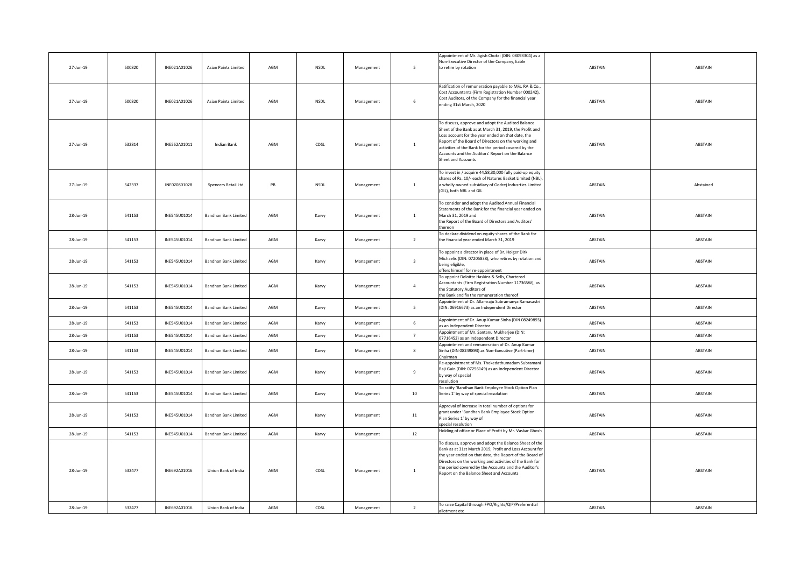| 27-Jun-19 | 500820 | INE021A01026 | <b>Asian Paints Limited</b> | AGM            | <b>NSDL</b> | Management | $\overline{\phantom{0}}$ | Appointment of Mr. Jigish Choksi (DIN: 08093304) as a<br>Non-Executive Director of the Company, liable<br>to retire by rotation                                                                                                                                                                                                                           | ABSTAIN | ABSTAIN   |
|-----------|--------|--------------|-----------------------------|----------------|-------------|------------|--------------------------|-----------------------------------------------------------------------------------------------------------------------------------------------------------------------------------------------------------------------------------------------------------------------------------------------------------------------------------------------------------|---------|-----------|
| 27-Jun-19 | 500820 | INE021A01026 | Asian Paints Limited        | AGM            | <b>NSDL</b> | Management | 6                        | Ratification of remuneration payable to M/s. RA & Co.,<br>Cost Accountants (Firm Registration Number 000242),<br>Cost Auditors, of the Company for the financial year<br>ending 31st March, 2020                                                                                                                                                          | ABSTAIN | ABSTAIN   |
| 27-Jun-19 | 532814 | INE562A01011 | <b>Indian Bank</b>          | AGM            | CDSL        | Management | $\mathbf{1}$             | To discuss, approve and adopt the Audited Balance<br>Sheet of the Bank as at March 31, 2019, the Profit and<br>Loss account for the year ended on that date, the<br>Report of the Board of Directors on the working and<br>activities of the Bank for the period covered by the<br>Accounts and the Auditors' Report on the Balance<br>Sheet and Accounts | ABSTAIN | ABSTAIN   |
| 27-Jun-19 | 542337 | INE020801028 | Spencers Retail Ltd         | $\mathsf{PB}$  | NSDL        | Management | $1\,$                    | To invest in / acquire 44,58,30,000 fully paid-up equity<br>shares of Rs. 10/- each of Natures Basket Limited (NBL),<br>a wholly owned subsidiary of Godrej Indusrties Limited<br>(GIL), both NBL and GIL                                                                                                                                                 | ABSTAIN | Abstained |
| 28-Jun-19 | 541153 | INE545U01014 | <b>Bandhan Bank Limited</b> | AGM            | Karvy       | Management | $\mathbf 1$              | To consider and adopt the Audited Annual Financial<br>Statements of the Bank for the financial year ended on<br>March 31, 2019 and<br>the Report of the Board of Directors and Auditors'<br>thereon                                                                                                                                                       | ABSTAIN | ABSTAIN   |
| 28-Jun-19 | 541153 | INE545U01014 | Bandhan Bank Limited        | AGM            | Karvy       | Management | $\overline{2}$           | To declare dividend on equity shares of the Bank for<br>the financial year ended March 31, 2019                                                                                                                                                                                                                                                           | ABSTAIN | ABSTAIN   |
| 28-Jun-19 | 541153 | INE545U01014 | Bandhan Bank Limited        | $\mathsf{AGM}$ | Karvy       | Management | $\overline{\mathbf{3}}$  | To appoint a director in place of Dr. Holger Dirk<br>Michaelis (DIN: 07205838), who retires by rotation and<br>being eligible,<br>offers himself for re-appointment                                                                                                                                                                                       | ABSTAIN | ABSTAIN   |
| 28-Jun-19 | 541153 | INE545U01014 | Bandhan Bank Limited        | AGM            | Karvy       | Management | $\overline{4}$           | To appoint Deloitte Haskins & Sells, Chartered<br>Accountants (Firm Registration Number 117365W), as<br>the Statutory Auditors of<br>the Bank and fix the remuneration thereof                                                                                                                                                                            | ABSTAIN | ABSTAIN   |
| 28-Jun-19 | 541153 | INE545U01014 | Bandhan Bank Limited        | AGM            | Karvy       | Management | $\overline{\phantom{0}}$ | Appointment of Dr. Allamraju Subramanya Ramasastri<br>(DIN: 06916673) as an Independent Director                                                                                                                                                                                                                                                          | ABSTAIN | ABSTAIN   |
| 28-Jun-19 | 541153 | INE545U01014 | Bandhan Bank Limited        | AGM            | Karvy       | Management | $\,$ 6 $\,$              | Appointment of Dr. Anup Kumar Sinha (DIN 08249893)<br>as an Independent Director                                                                                                                                                                                                                                                                          | ABSTAIN | ABSTAIN   |
| 28-Jun-19 | 541153 | INE545U01014 | <b>Bandhan Bank Limited</b> | AGM            | Karvy       | Management | $\overline{7}$           | Appointment of Mr. Santanu Mukherjee (DIN:<br>07716452) as an Independent Director                                                                                                                                                                                                                                                                        | ABSTAIN | ABSTAIN   |
| 28-Jun-19 | 541153 | INE545U01014 | <b>Bandhan Bank Limited</b> | AGM            | Karvy       | Management | $\mathbf{g}$             | Appointment and remuneration of Dr. Anup Kumar<br>Sinha (DIN 08249893) as Non-Executive (Part-time)<br>hairman                                                                                                                                                                                                                                            | ABSTAIN | ABSTAIN   |
| 28-Jun-19 | 541153 | INE545U01014 | <b>Bandhan Bank Limited</b> | AGM            | Karvy       | Management | $\mathbf{q}$             | Re-appointment of Ms. Thekedathumadam Subramani<br>Raji Gain (DIN: 07256149) as an Independent Director<br>by way of special<br>esolution                                                                                                                                                                                                                 | ABSTAIN | ABSTAIN   |
| 28-Jun-19 | 541153 | INE545U01014 | <b>Bandhan Bank Limited</b> | AGM            | Karvy       | Management | 10                       | To ratify 'Bandhan Bank Employee Stock Option Plan<br>Series 1' by way of special resolution                                                                                                                                                                                                                                                              | ABSTAIN | ABSTAIN   |
| 28-Jun-19 | 541153 | INE545U01014 | Bandhan Bank Limited        | AGM            | Karvy       | Management | 11                       | Approval of increase in total number of options for<br>grant under 'Bandhan Bank Employee Stock Option<br>Plan Series 1' by way of<br>pecial resolution                                                                                                                                                                                                   | ABSTAIN | ABSTAIN   |
| 28-Jun-19 | 541153 | INE545U01014 | <b>Bandhan Bank Limited</b> | AGM            | Karvy       | Management | 12                       | Holding of office or Place of Profit by Mr. Vaskar Ghosh                                                                                                                                                                                                                                                                                                  | ABSTAIN | ABSTAIN   |
| 28-Jun-19 | 532477 | INE692A01016 | Union Bank of India         | AGM            | CDSL        | Management | $\mathbf{1}$             | To discuss, approve and adopt the Balance Sheet of the<br>Bank as at 31st March 2019, Profit and Loss Account for<br>the year ended on that date, the Report of the Board of<br>Directors on the working and activities of the Bank for<br>the period covered by the Accounts and the Auditor's<br>Report on the Balance Sheet and Accounts               | ABSTAIN | ABSTAIN   |
| 28-Jun-19 | 532477 | INE692A01016 | Union Bank of India         | AGM            | CDSL        | Management | $\overline{2}$           | To raise Capital through FPO/Rights/QIP/Preferential<br>allotment etc                                                                                                                                                                                                                                                                                     | ABSTAIN | ABSTAIN   |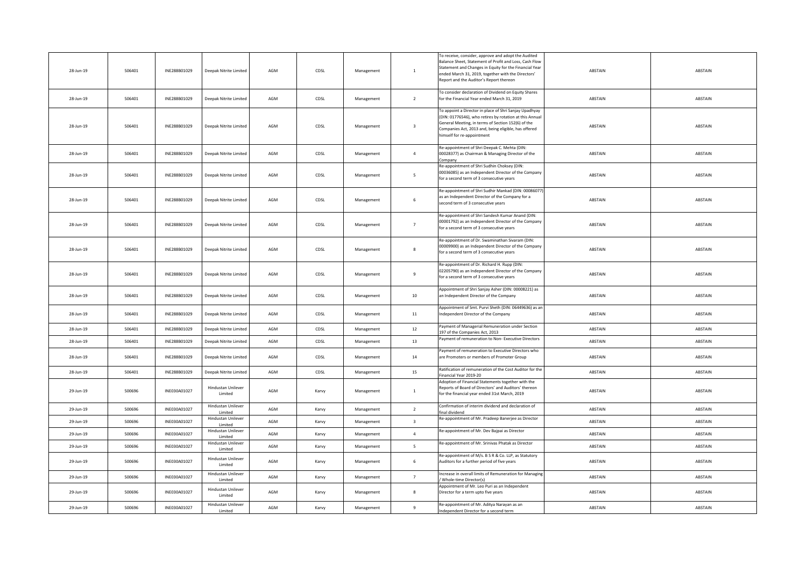| 28-Jun-19 | 506401 | INE288B01029 | Deepak Nitrite Limited               | AGM | CDSL  | Management | $\mathbf{1}$            | To receive, consider, approve and adopt the Audited<br>Balance Sheet, Statement of Profit and Loss, Cash Flow<br>Statement and Changes in Equity for the Financial Year<br>ended March 31, 2019, together with the Directors'<br>Report and the Auditor's Report thereon | ABSTAIN | ABSTAIN |
|-----------|--------|--------------|--------------------------------------|-----|-------|------------|-------------------------|--------------------------------------------------------------------------------------------------------------------------------------------------------------------------------------------------------------------------------------------------------------------------|---------|---------|
| 28-Jun-19 | 506401 | INE288B01029 | Deepak Nitrite Limited               | AGM | CDSL  | Management | $\overline{2}$          | To consider declaration of Dividend on Equity Shares<br>for the Financial Year ended March 31, 2019                                                                                                                                                                      | ABSTAIN | ABSTAIN |
| 28-Jun-19 | 506401 | INE288B01029 | Deepak Nitrite Limited               | AGM | CDSL  | Management | $\overline{\mathbf{3}}$ | To appoint a Director in place of Shri Sanjay Upadhyay<br>(DIN: 01776546), who retires by rotation at this Annual<br>General Meeting, in terms of Section 152(6) of the<br>Companies Act, 2013 and, being eligible, has offered<br>himself for re-appointment            | ABSTAIN | ABSTAIN |
| 28-Jun-19 | 506401 | INE288B01029 | Deepak Nitrite Limited               | AGM | CDSL  | Management | $\overline{4}$          | Re-appointment of Shri Deepak C. Mehta (DIN:<br>00028377) as Chairman & Managing Director of the<br>ompany                                                                                                                                                               | ABSTAIN | ABSTAIN |
| 28-Jun-19 | 506401 | INE288B01029 | Deepak Nitrite Limited               | AGM | CDSL  | Management | $5\overline{ }$         | Re-appointment of Shri Sudhin Choksey (DIN:<br>00036085) as an Independent Director of the Company<br>for a second term of 3 consecutive years                                                                                                                           | ABSTAIN | ABSTAIN |
| 28-Jun-19 | 506401 | INE288B01029 | Deepak Nitrite Limited               | AGM | CDSL  | Management | $\sqrt{6}$              | Re-appointment of Shri Sudhir Mankad (DIN: 00086077)<br>as an Independent Director of the Company for a<br>second term of 3 consecutive years                                                                                                                            | ABSTAIN | ABSTAIN |
| 28-Jun-19 | 506401 | INE288B01029 | Deepak Nitrite Limited               | AGM | CDSL  | Management | $7\overline{ }$         | Re-appointment of Shri Sandesh Kumar Anand (DIN:<br>00001792) as an Independent Director of the Company<br>for a second term of 3 consecutive years                                                                                                                      | ABSTAIN | ABSTAIN |
| 28-Jun-19 | 506401 | INE288B01029 | Deepak Nitrite Limited               | AGM | CDSL  | Management | $\bf 8$                 | Re-appointment of Dr. Swaminathan Sivaram (DIN:<br>00009900) as an Independent Director of the Company<br>for a second term of 3 consecutive years                                                                                                                       | ABSTAIN | ABSTAIN |
| 28-Jun-19 | 506401 | INE288B01029 | Deepak Nitrite Limited               | AGM | CDSL  | Management | 9                       | Re-appointment of Dr. Richard H. Rupp (DIN:<br>02205790) as an Independent Director of the Company<br>for a second term of 3 consecutive years                                                                                                                           | ABSTAIN | ABSTAIN |
| 28-Jun-19 | 506401 | INE288B01029 | Deepak Nitrite Limited               | AGM | CDSL  | Management | 10                      | Appointment of Shri Sanjay Asher (DIN: 00008221) as<br>an Independent Director of the Company                                                                                                                                                                            | ABSTAIN | ABSTAIN |
| 28-Jun-19 | 506401 | INE288B01029 | Deepak Nitrite Limited               | AGM | CDSL  | Management | 11                      | Appointment of Smt. Purvi Sheth (DIN: 06449636) as an<br>Independent Director of the Company                                                                                                                                                                             | ABSTAIN | ABSTAIN |
| 28-Jun-19 | 506401 | INE288B01029 | Deepak Nitrite Limited               | AGM | CDSL  | Management | 12                      | Payment of Managerial Remuneration under Section<br>197 of the Companies Act. 2013                                                                                                                                                                                       | ABSTAIN | ABSTAIN |
| 28-Jun-19 | 506401 | INE288B01029 | Deepak Nitrite Limited               | AGM | CDSL  | Management | 13                      | Payment of remuneration to Non- Executive Directors                                                                                                                                                                                                                      | ABSTAIN | ABSTAIN |
| 28-Jun-19 | 506401 | INE288B01029 | Deepak Nitrite Limited               | AGM | CDSL  | Management | 14                      | Payment of remuneration to Executive Directors who<br>are Promoters or members of Promoter Group                                                                                                                                                                         | ABSTAIN | ABSTAIN |
| 28-Jun-19 | 506401 | INE288B01029 | Deepak Nitrite Limited               | AGM | CDSL  | Management | 15                      | Ratification of remuneration of the Cost Auditor for the<br>Financial Year 2019-20                                                                                                                                                                                       | ABSTAIN | ABSTAIN |
| 29-Jun-19 | 500696 | INE030A01027 | Hindustan Unilever<br>Limited        | AGM | Karvy | Management | $\mathbf{1}$            | Adoption of Financial Statements together with the<br>Reports of Board of Directors' and Auditors' thereon<br>for the financial year ended 31st March, 2019                                                                                                              | ABSTAIN | ABSTAIN |
| 29-Jun-19 | 500696 | INE030A01027 | Hindustan Unilever<br>Limited        | AGM | Karvy | Management | $\overline{2}$          | Confirmation of interim dividend and declaration of<br>final dividend                                                                                                                                                                                                    | ABSTAIN | ABSTAIN |
| 29-Jun-19 | 500696 | INE030A01027 | Hindustan Unilever<br>Limited        | AGM | Karvy | Management | $\overline{\mathbf{3}}$ | Re-appointment of Mr. Pradeep Banerjee as Director                                                                                                                                                                                                                       | ABSTAIN | ABSTAIN |
| 29-Jun-19 | 500696 | INE030A01027 | Hindustan Unilever<br>Limited        | AGM | Karvy | Management | $\overline{a}$          | Re-appointment of Mr. Dev Bajpai as Director                                                                                                                                                                                                                             | ABSTAIN | ABSTAIN |
| 29-Jun-19 | 500696 | INE030A01027 | Hindustan Unilever<br>Limited        | AGM | Karvy | Management | 5 <sub>1</sub>          | Re-appointment of Mr. Srinivas Phatak as Director                                                                                                                                                                                                                        | ABSTAIN | ABSTAIN |
| 29-Jun-19 | 500696 | INE030A01027 | Hindustan Unilever<br>Limited        | AGM | Karvy | Management | $\,$ 6                  | Re-appointment of M/s. B S R & Co. LLP, as Statutory<br>Auditors for a further period of five years                                                                                                                                                                      | ABSTAIN | ABSTAIN |
| 29-Jun-19 | 500696 | INE030A01027 | Hindustan Unilever<br>Limited        | AGM | Karvy | Management | 7                       | Increase in overall limits of Remuneration for Managing<br>Whole-time Director(s)                                                                                                                                                                                        | ABSTAIN | ABSTAIN |
| 29-Jun-19 | 500696 | INE030A01027 | Hindustan Unilever<br>Limited        | AGM | Karvy | Management | $\mathbf{g}$            | Appointment of Mr. Leo Puri as an Independent<br>Director for a term upto five years                                                                                                                                                                                     | ABSTAIN | ABSTAIN |
| 29-Jun-19 | 500696 | INE030A01027 | <b>Hindustan Unilever</b><br>Limited | AGM | Karvy | Management | 9                       | Re-appointment of Mr. Aditya Narayan as an<br>Independent Director for a second term                                                                                                                                                                                     | ABSTAIN | ABSTAIN |